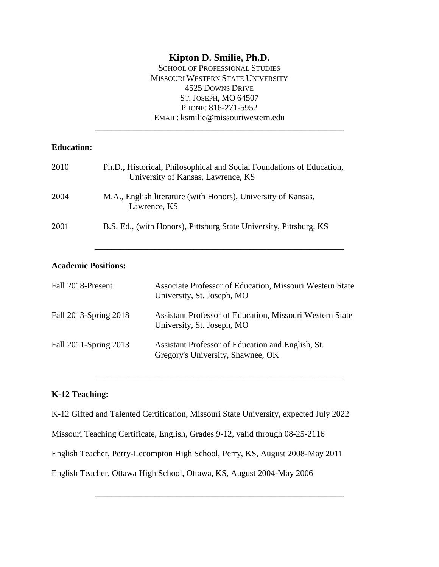# **Kipton D. Smilie, Ph.D.**

SCHOOL OF PROFESSIONAL STUDIES MISSOURI WESTERN STATE UNIVERSITY 4525 DOWNS DRIVE ST. JOSEPH, MO 64507 PHONE: 816-271-5952 EMAIL: ksmilie@missouriwestern.edu

| <b>Education:</b>     |                            |                                                                                                             |  |
|-----------------------|----------------------------|-------------------------------------------------------------------------------------------------------------|--|
| 2010                  |                            | Ph.D., Historical, Philosophical and Social Foundations of Education,<br>University of Kansas, Lawrence, KS |  |
| 2004                  |                            | M.A., English literature (with Honors), University of Kansas,<br>Lawrence, KS                               |  |
| 2001                  |                            | B.S. Ed., (with Honors), Pittsburg State University, Pittsburg, KS                                          |  |
|                       | <b>Academic Positions:</b> |                                                                                                             |  |
| Fall 2018-Present     |                            | Associate Professor of Education, Missouri Western State<br>University, St. Joseph, MO                      |  |
| Fall 2013-Spring 2018 |                            | Assistant Professor of Education, Missouri Western State<br>University, St. Joseph, MO                      |  |
| Fall 2011-Spring 2013 |                            | Assistant Professor of Education and English, St.                                                           |  |

# **K-12 Teaching:**

K-12 Gifted and Talented Certification, Missouri State University, expected July 2022

Gregory's University, Shawnee, OK

\_\_\_\_\_\_\_\_\_\_\_\_\_\_\_\_\_\_\_\_\_\_\_\_\_\_\_\_\_\_\_\_\_\_\_\_\_\_\_\_\_\_\_\_\_\_\_\_\_\_\_\_\_\_\_\_\_\_

\_\_\_\_\_\_\_\_\_\_\_\_\_\_\_\_\_\_\_\_\_\_\_\_\_\_\_\_\_\_\_\_\_\_\_\_\_\_\_\_\_\_\_\_\_\_\_\_\_\_\_\_\_\_\_\_\_\_

Missouri Teaching Certificate, English, Grades 9-12, valid through 08-25-2116

English Teacher, Perry-Lecompton High School, Perry, KS, August 2008-May 2011

English Teacher, Ottawa High School, Ottawa, KS, August 2004-May 2006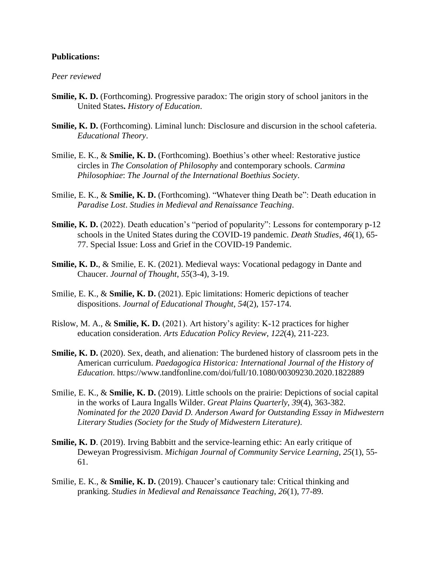### **Publications:**

#### *Peer reviewed*

- **Smilie, K. D.** (Forthcoming). Progressive paradox: The origin story of school janitors in the United States**.** *History of Education*.
- **Smilie, K. D.** (Forthcoming). Liminal lunch: Disclosure and discursion in the school cafeteria. *Educational Theory*.
- Smilie, E. K., & **Smilie, K. D.** (Forthcoming). Boethius's other wheel: Restorative justice circles in *The Consolation of Philosophy* and contemporary schools. *Carmina Philosophiae*: *The Journal of the International Boethius Society*.
- Smilie, E. K., & **Smilie, K. D.** (Forthcoming). "Whatever thing Death be": Death education in *Paradise Lost*. *Studies in Medieval and Renaissance Teaching*.
- **Smilie, K. D.** (2022). Death education's "period of popularity": Lessons for contemporary p-12 schools in the United States during the COVID-19 pandemic. *Death Studies*, *46*(1), 65- 77. Special Issue: Loss and Grief in the COVID-19 Pandemic.
- **Smilie, K. D.**, & Smilie, E. K. (2021). Medieval ways: Vocational pedagogy in Dante and Chaucer. *Journal of Thought*, *55*(3-4), 3-19.
- Smilie, E. K., & **Smilie, K. D.** (2021). Epic limitations: Homeric depictions of teacher dispositions. *Journal of Educational Thought*, *54*(2), 157-174.
- Rislow, M. A., & **Smilie, K. D.** (2021). Art history's agility: K-12 practices for higher education consideration. *Arts Education Policy Review*, *122*(4), 211-223.
- **Smilie, K. D.** (2020). Sex, death, and alienation: The burdened history of classroom pets in the American curriculum. *Paedagogica Historica: International Journal of the History of Education*. https://www.tandfonline.com/doi/full/10.1080/00309230.2020.1822889
- Smilie, E. K., & **Smilie, K. D.** (2019). Little schools on the prairie: Depictions of social capital in the works of Laura Ingalls Wilder. *Great Plains Quarterly*, *39*(4), 363-382. *Nominated for the 2020 David D. Anderson Award for Outstanding Essay in Midwestern Literary Studies (Society for the Study of Midwestern Literature)*.
- **Smilie, K. D.** (2019). Irving Babbitt and the service-learning ethic: An early critique of Deweyan Progressivism. *Michigan Journal of Community Service Learning*, *25*(1), 55- 61.
- Smilie, E. K., & **Smilie, K. D.** (2019). Chaucer's cautionary tale: Critical thinking and pranking. *Studies in Medieval and Renaissance Teaching*, *26*(1), 77-89.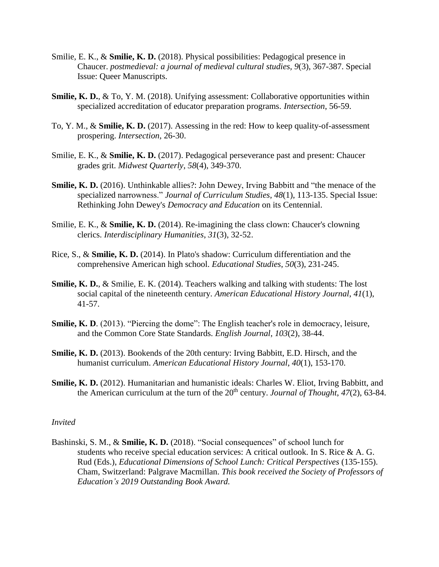- Smilie, E. K., & **Smilie, K. D.** (2018). Physical possibilities: Pedagogical presence in Chaucer. *postmedieval: a journal of medieval cultural studies, 9*(3), 367-387. Special Issue: Queer Manuscripts.
- **Smilie, K. D.**, & To, Y. M. (2018). Unifying assessment: Collaborative opportunities within specialized accreditation of educator preparation programs. *Intersection*, 56-59.
- To, Y. M., & **Smilie, K. D.** (2017). Assessing in the red: How to keep quality-of-assessment prospering. *Intersection*, 26-30.
- Smilie, E. K., & **Smilie, K. D.** (2017). Pedagogical perseverance past and present: Chaucer grades grit. *Midwest Quarterly*, *58*(4), 349-370.
- **Smilie, K. D.** (2016). Unthinkable allies?: John Dewey, Irving Babbitt and "the menace of the specialized narrowness." *Journal of Curriculum Studies*, *48*(1), 113-135. Special Issue: Rethinking John Dewey's *Democracy and Education* on its Centennial.
- Smilie, E. K., & **Smilie, K. D.** (2014). Re-imagining the class clown: Chaucer's clowning clerics. *Interdisciplinary Humanities*, *31*(3), 32-52.
- Rice, S., & **Smilie, K. D.** (2014). In Plato's shadow: Curriculum differentiation and the comprehensive American high school. *Educational Studies*, *50*(3), 231-245.
- **Smilie, K. D., & Smilie, E. K. (2014). Teachers walking and talking with students: The lost** social capital of the nineteenth century. *American Educational History Journal*, *41*(1), 41-57.
- **Smilie, K. D.** (2013). "Piercing the dome": The English teacher's role in democracy, leisure, and the Common Core State Standards. *English Journal*, *103*(2), 38-44.
- **Smilie, K. D.** (2013). Bookends of the 20th century: Irving Babbitt, E.D. Hirsch, and the humanist curriculum. *American Educational History Journal*, *40*(1), 153-170.
- **Smilie, K. D.** (2012). Humanitarian and humanistic ideals: Charles W. Eliot, Irving Babbitt, and the American curriculum at the turn of the 20<sup>th</sup> century. *Journal of Thought*, 47(2), 63-84.

#### *Invited*

Bashinski, S. M., & **Smilie, K. D.** (2018). "Social consequences" of school lunch for students who receive special education services: A critical outlook. In S. Rice & A. G. Rud (Eds.), *Educational Dimensions of School Lunch: Critical Perspectives* (135-155). Cham, Switzerland: Palgrave Macmillan. *This book received the Society of Professors of Education's 2019 Outstanding Book Award.*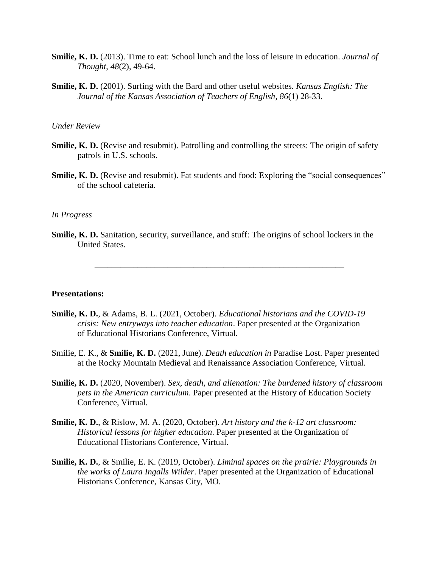- **Smilie, K. D.** (2013). Time to eat: School lunch and the loss of leisure in education. *Journal of Thought*, *48*(2), 49-64.
- **Smilie, K. D.** (2001). Surfing with the Bard and other useful websites. *Kansas English: The Journal of the Kansas Association of Teachers of English*, *86*(1) 28-33.

### *Under Review*

- **Smilie, K. D.** (Revise and resubmit). Patrolling and controlling the streets: The origin of safety patrols in U.S. schools.
- **Smilie, K. D.** (Revise and resubmit). Fat students and food: Exploring the "social consequences" of the school cafeteria.

#### *In Progress*

**Smilie, K. D.** Sanitation, security, surveillance, and stuff: The origins of school lockers in the United States.

\_\_\_\_\_\_\_\_\_\_\_\_\_\_\_\_\_\_\_\_\_\_\_\_\_\_\_\_\_\_\_\_\_\_\_\_\_\_\_\_\_\_\_\_\_\_\_\_\_\_\_\_\_\_\_\_\_\_

#### **Presentations:**

- **Smilie, K. D.**, & Adams, B. L. (2021, October). *Educational historians and the COVID-19 crisis: New entryways into teacher education*. Paper presented at the Organization of Educational Historians Conference, Virtual.
- Smilie, E. K., & **Smilie, K. D.** (2021, June). *Death education in* Paradise Lost. Paper presented at the Rocky Mountain Medieval and Renaissance Association Conference, Virtual.
- **Smilie, K. D.** (2020, November). *Sex, death, and alienation: The burdened history of classroom pets in the American curriculum*. Paper presented at the History of Education Society Conference, Virtual.
- **Smilie, K. D.**, & Rislow, M. A. (2020, October). *Art history and the k-12 art classroom: Historical lessons for higher education*. Paper presented at the Organization of Educational Historians Conference, Virtual.
- **Smilie, K. D.**, & Smilie, E. K. (2019, October). *Liminal spaces on the prairie: Playgrounds in the works of Laura Ingalls Wilder*. Paper presented at the Organization of Educational Historians Conference, Kansas City, MO.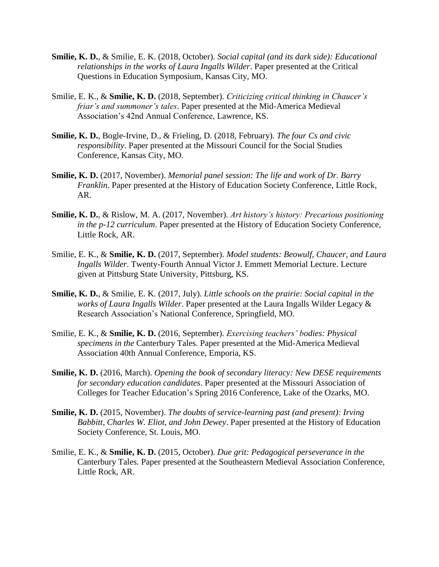- **Smilie, K. D.**, & Smilie, E. K. (2018, October). *Social capital (and its dark side): Educational relationships in the works of Laura Ingalls Wilder*. Paper presented at the Critical Questions in Education Symposium, Kansas City, MO.
- Smilie, E. K., & **Smilie, K. D.** (2018, September). *Criticizing critical thinking in Chaucer's friar's and summoner's tales*. Paper presented at the Mid-America Medieval Association's 42nd Annual Conference, Lawrence, KS.
- **Smilie, K. D.**, Bogle-Irvine, D., & Frieling, D. (2018, February). *The four Cs and civic responsibility*. Paper presented at the Missouri Council for the Social Studies Conference, Kansas City, MO.
- **Smilie, K. D.** (2017, November). *Memorial panel session: The life and work of Dr. Barry Franklin*. Paper presented at the History of Education Society Conference, Little Rock, AR.
- **Smilie, K. D.**, & Rislow, M. A. (2017, November). *Art history's history: Precarious positioning in the p-12 curriculum*. Paper presented at the History of Education Society Conference, Little Rock, AR.
- Smilie, E. K., & **Smilie, K. D.** (2017, September). *Model students: Beowulf, Chaucer, and Laura Ingalls Wilder*. Twenty-Fourth Annual Victor J. Emmett Memorial Lecture. Lecture given at Pittsburg State University, Pittsburg, KS.
- **Smilie, K. D.**, & Smilie, E. K. (2017, July). *Little schools on the prairie: Social capital in the works of Laura Ingalls Wilder*. Paper presented at the Laura Ingalls Wilder Legacy & Research Association's National Conference, Springfield, MO.
- Smilie, E. K., & **Smilie, K. D.** (2016, September). *Exercising teachers' bodies: Physical specimens in the* Canterbury Tales*.* Paper presented at the Mid-America Medieval Association 40th Annual Conference, Emporia, KS.
- **Smilie, K. D.** (2016, March). *Opening the book of secondary literacy: New DESE requirements for secondary education candidates*. Paper presented at the Missouri Association of Colleges for Teacher Education's Spring 2016 Conference, Lake of the Ozarks, MO.
- **Smilie, K. D.** (2015, November). *The doubts of service-learning past (and present): Irving Babbitt, Charles W. Eliot, and John Dewey*. Paper presented at the History of Education Society Conference, St. Louis, MO.
- Smilie, E. K., & **Smilie, K. D.** (2015, October). *Due grit: Pedagogical perseverance in the*  Canterbury Tales*.* Paper presented at the Southeastern Medieval Association Conference, Little Rock, AR.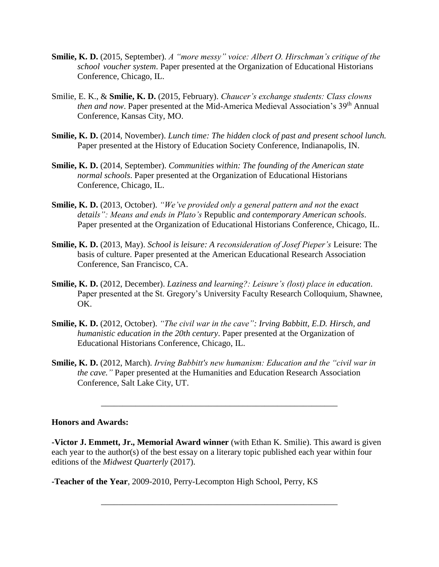- **Smilie, K. D.** (2015, September). *A "more messy" voice: Albert O. Hirschman's critique of the school voucher system*. Paper presented at the Organization of Educational Historians Conference, Chicago, IL.
- Smilie, E. K., & **Smilie, K. D.** (2015, February). *Chaucer's exchange students: Class clowns then and now.* Paper presented at the Mid-America Medieval Association's 39<sup>th</sup> Annual Conference, Kansas City, MO.
- **Smilie, K. D.** (2014, November). *Lunch time: The hidden clock of past and present school lunch.* Paper presented at the History of Education Society Conference, Indianapolis, IN.
- **Smilie, K. D.** (2014, September). *Communities within: The founding of the American state normal schools*. Paper presented at the Organization of Educational Historians Conference, Chicago, IL.
- **Smilie, K. D.** (2013, October). *"We've provided only a general pattern and not the exact details": Means and ends in Plato's* Republic *and contemporary American schools*. Paper presented at the Organization of Educational Historians Conference, Chicago, IL.
- **Smilie, K. D.** (2013, May). *School is leisure: A reconsideration of Josef Pieper's* Leisure: The basis of culture. Paper presented at the American Educational Research Association Conference, San Francisco, CA.
- **Smilie, K. D.** (2012, December). *Laziness and learning?: Leisure's (lost) place in education*. Paper presented at the St. Gregory's University Faculty Research Colloquium, Shawnee, OK.
- **Smilie, K. D.** (2012, October). *"The civil war in the cave": Irving Babbitt, E.D. Hirsch, and humanistic education in the 20th century*. Paper presented at the Organization of Educational Historians Conference, Chicago, IL.
- **Smilie, K. D.** (2012, March). *Irving Babbitt's new humanism: Education and the "civil war in the cave."* Paper presented at the Humanities and Education Research Association Conference, Salt Lake City, UT.

\_\_\_\_\_\_\_\_\_\_\_\_\_\_\_\_\_\_\_\_\_\_\_\_\_\_\_\_\_\_\_\_\_\_\_\_\_\_\_\_\_\_\_\_\_\_\_\_\_\_\_\_\_\_\_

#### **Honors and Awards:**

**-Victor J. Emmett, Jr., Memorial Award winner** (with Ethan K. Smilie). This award is given each year to the author(s) of the best essay on a literary topic published each year within four editions of the *Midwest Quarterly* (2017).

\_\_\_\_\_\_\_\_\_\_\_\_\_\_\_\_\_\_\_\_\_\_\_\_\_\_\_\_\_\_\_\_\_\_\_\_\_\_\_\_\_\_\_\_\_\_\_\_\_\_\_\_\_\_\_

**-Teacher of the Year**, 2009-2010, Perry-Lecompton High School, Perry, KS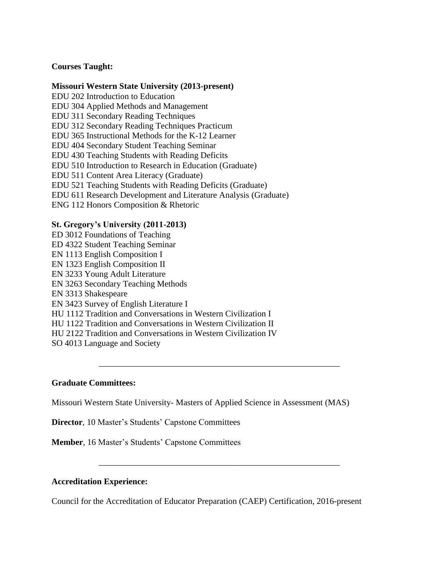# **Courses Taught:**

## **Missouri Western State University (2013-present)**

EDU 202 Introduction to Education EDU 304 Applied Methods and Management EDU 311 Secondary Reading Techniques EDU 312 Secondary Reading Techniques Practicum EDU 365 Instructional Methods for the K-12 Learner EDU 404 Secondary Student Teaching Seminar EDU 430 Teaching Students with Reading Deficits EDU 510 Introduction to Research in Education (Graduate) EDU 511 Content Area Literacy (Graduate) EDU 521 Teaching Students with Reading Deficits (Graduate) EDU 611 Research Development and Literature Analysis (Graduate) ENG 112 Honors Composition & Rhetoric

## **St. Gregory's University (2011-2013)**

ED 3012 Foundations of Teaching ED 4322 Student Teaching Seminar EN 1113 English Composition I EN 1323 English Composition II EN 3233 Young Adult Literature EN 3263 Secondary Teaching Methods EN 3313 Shakespeare EN 3423 Survey of English Literature I HU 1112 Tradition and Conversations in Western Civilization I HU 1122 Tradition and Conversations in Western Civilization II HU 2122 Tradition and Conversations in Western Civilization IV SO 4013 Language and Society

# **Graduate Committees:**

Missouri Western State University- Masters of Applied Science in Assessment (MAS)

\_\_\_\_\_\_\_\_\_\_\_\_\_\_\_\_\_\_\_\_\_\_\_\_\_\_\_\_\_\_\_\_\_\_\_\_\_\_\_\_\_\_\_\_\_\_\_\_\_\_\_\_\_\_\_\_

\_\_\_\_\_\_\_\_\_\_\_\_\_\_\_\_\_\_\_\_\_\_\_\_\_\_\_\_\_\_\_\_\_\_\_\_\_\_\_\_\_\_\_\_\_\_\_\_\_\_\_\_\_\_\_\_

**Director**, 10 Master's Students' Capstone Committees

**Member**, 16 Master's Students' Capstone Committees

# **Accreditation Experience:**

Council for the Accreditation of Educator Preparation (CAEP) Certification, 2016-present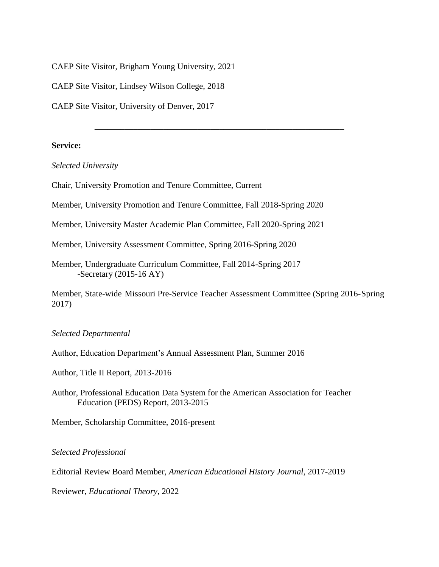CAEP Site Visitor, Brigham Young University, 2021

CAEP Site Visitor, Lindsey Wilson College, 2018

CAEP Site Visitor, University of Denver, 2017

## **Service:**

*Selected University*

Chair, University Promotion and Tenure Committee, Current

Member, University Promotion and Tenure Committee, Fall 2018-Spring 2020

Member, University Master Academic Plan Committee, Fall 2020-Spring 2021

Member, University Assessment Committee, Spring 2016-Spring 2020

Member, Undergraduate Curriculum Committee, Fall 2014-Spring 2017 -Secretary (2015-16 AY)

Member, State-wide Missouri Pre-Service Teacher Assessment Committee (Spring 2016-Spring 2017)

\_\_\_\_\_\_\_\_\_\_\_\_\_\_\_\_\_\_\_\_\_\_\_\_\_\_\_\_\_\_\_\_\_\_\_\_\_\_\_\_\_\_\_\_\_\_\_\_\_\_\_\_\_\_\_\_\_\_

#### *Selected Departmental*

Author, Education Department's Annual Assessment Plan, Summer 2016

Author, Title II Report, 2013-2016

Author, Professional Education Data System for the American Association for Teacher Education (PEDS) Report, 2013-2015

Member, Scholarship Committee, 2016-present

*Selected Professional* 

Editorial Review Board Member, *American Educational History Journal*, 2017-2019

Reviewer, *Educational Theory*, 2022